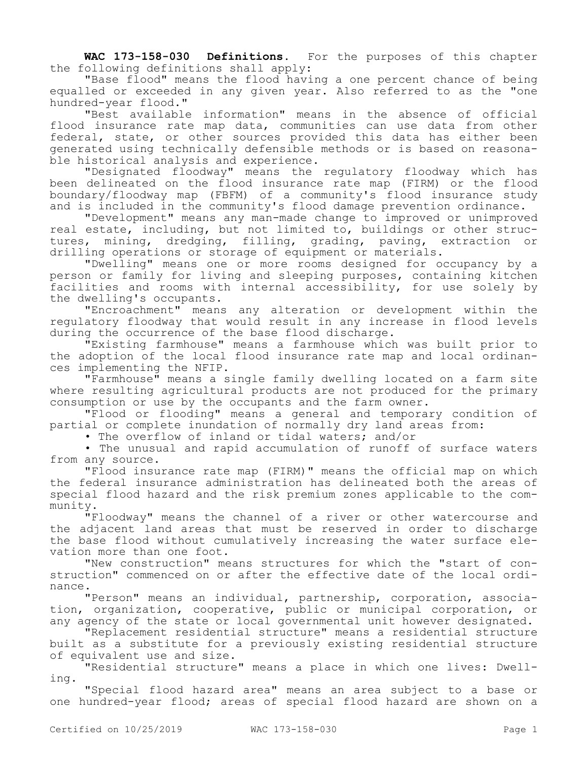**WAC 173-158-030 Definitions.** For the purposes of this chapter the following definitions shall apply:

"Base flood" means the flood having a one percent chance of being equalled or exceeded in any given year. Also referred to as the "one hundred-year flood."

"Best available information" means in the absence of official flood insurance rate map data, communities can use data from other federal, state, or other sources provided this data has either been generated using technically defensible methods or is based on reasonable historical analysis and experience.

"Designated floodway" means the regulatory floodway which has been delineated on the flood insurance rate map (FIRM) or the flood boundary/floodway map (FBFM) of a community's flood insurance study and is included in the community's flood damage prevention ordinance.

"Development" means any man-made change to improved or unimproved real estate, including, but not limited to, buildings or other structures, mining, dredging, filling, grading, paving, extraction or drilling operations or storage of equipment or materials.

"Dwelling" means one or more rooms designed for occupancy by a person or family for living and sleeping purposes, containing kitchen facilities and rooms with internal accessibility, for use solely by the dwelling's occupants.

"Encroachment" means any alteration or development within the regulatory floodway that would result in any increase in flood levels during the occurrence of the base flood discharge.

"Existing farmhouse" means a farmhouse which was built prior to the adoption of the local flood insurance rate map and local ordinances implementing the NFIP.

"Farmhouse" means a single family dwelling located on a farm site where resulting agricultural products are not produced for the primary consumption or use by the occupants and the farm owner.

"Flood or flooding" means a general and temporary condition of partial or complete inundation of normally dry land areas from:

• The overflow of inland or tidal waters; and/or

• The unusual and rapid accumulation of runoff of surface waters from any source.

"Flood insurance rate map (FIRM)" means the official map on which the federal insurance administration has delineated both the areas of special flood hazard and the risk premium zones applicable to the community.

"Floodway" means the channel of a river or other watercourse and the adjacent land areas that must be reserved in order to discharge the base flood without cumulatively increasing the water surface elevation more than one foot.

"New construction" means structures for which the "start of construction" commenced on or after the effective date of the local ordinance.

"Person" means an individual, partnership, corporation, association, organization, cooperative, public or municipal corporation, or any agency of the state or local governmental unit however designated.

"Replacement residential structure" means a residential structure built as a substitute for a previously existing residential structure of equivalent use and size.

"Residential structure" means a place in which one lives: Dwelling.

"Special flood hazard area" means an area subject to a base or one hundred-year flood; areas of special flood hazard are shown on a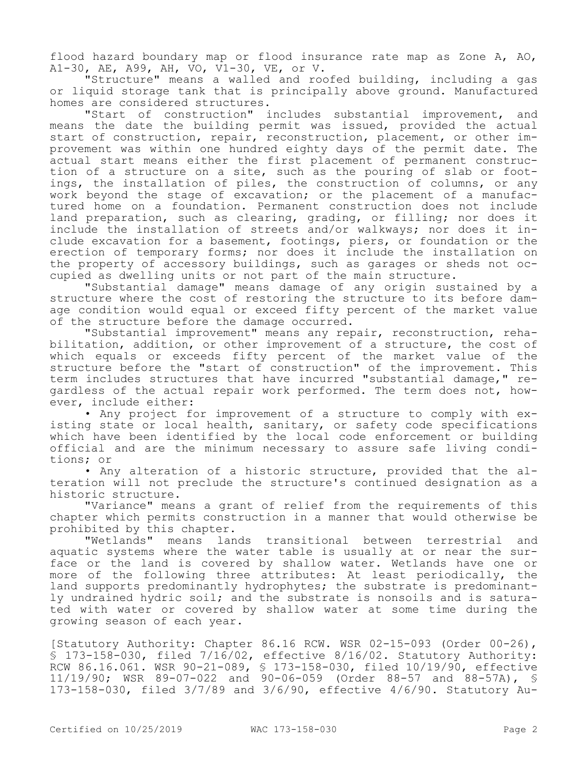flood hazard boundary map or flood insurance rate map as Zone A, AO, A1-30, AE, A99, AH, VO, V1-30, VE, or V.

"Structure" means a walled and roofed building, including a gas or liquid storage tank that is principally above ground. Manufactured homes are considered structures.

"Start of construction" includes substantial improvement, and means the date the building permit was issued, provided the actual start of construction, repair, reconstruction, placement, or other improvement was within one hundred eighty days of the permit date. The actual start means either the first placement of permanent construction of a structure on a site, such as the pouring of slab or footings, the installation of piles, the construction of columns, or any work beyond the stage of excavation; or the placement of a manufactured home on a foundation. Permanent construction does not include land preparation, such as clearing, grading, or filling; nor does it include the installation of streets and/or walkways; nor does it include excavation for a basement, footings, piers, or foundation or the erection of temporary forms; nor does it include the installation on the property of accessory buildings, such as garages or sheds not occupied as dwelling units or not part of the main structure.

"Substantial damage" means damage of any origin sustained by a structure where the cost of restoring the structure to its before damage condition would equal or exceed fifty percent of the market value of the structure before the damage occurred.

"Substantial improvement" means any repair, reconstruction, rehabilitation, addition, or other improvement of a structure, the cost of which equals or exceeds fifty percent of the market value of the structure before the "start of construction" of the improvement. This term includes structures that have incurred "substantial damage," regardless of the actual repair work performed. The term does not, however, include either:

• Any project for improvement of a structure to comply with existing state or local health, sanitary, or safety code specifications which have been identified by the local code enforcement or building official and are the minimum necessary to assure safe living conditions; or

• Any alteration of a historic structure, provided that the alteration will not preclude the structure's continued designation as a historic structure.

"Variance" means a grant of relief from the requirements of this chapter which permits construction in a manner that would otherwise be prohibited by this chapter.

"Wetlands" means lands transitional between terrestrial and aquatic systems where the water table is usually at or near the surface or the land is covered by shallow water. Wetlands have one or more of the following three attributes: At least periodically, the land supports predominantly hydrophytes; the substrate is predominantly undrained hydric soil; and the substrate is nonsoils and is saturated with water or covered by shallow water at some time during the growing season of each year.

[Statutory Authority: Chapter 86.16 RCW. WSR 02-15-093 (Order 00-26), § 173-158-030, filed 7/16/02, effective 8/16/02. Statutory Authority: RCW 86.16.061. WSR 90-21-089, § 173-158-030, filed 10/19/90, effective 11/19/90; WSR 89-07-022 and 90-06-059 (Order 88-57 and 88-57A), § 173-158-030, filed 3/7/89 and 3/6/90, effective 4/6/90. Statutory Au